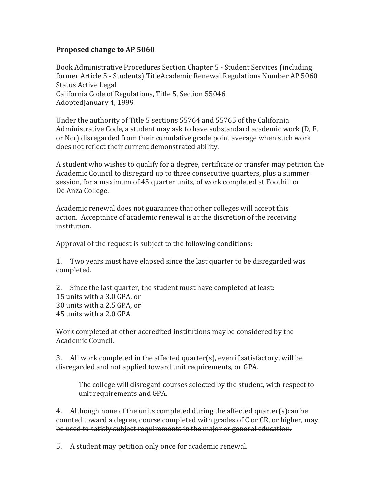## **Proposed change to AP 5060**

Book Administrative Procedures Section Chapter 5 - Student Services (including former Article 5 - Students) TitleAcademic Renewal Regulations Number AP 5060 Status Active Legal [California Code of Regulations, Title 5, Section 55046](https://govt.westlaw.com/calregs/Document/I8220807006CC11E3AAD4AB9A1743D04A?contextData=(sc.Search)&rank=1&originationContext=Search+Result&navigationPath=Search%2fv3%2fsearch%2fresults%2fnavigation%2fi0ad600240000014bc1b8127400a198a8%3fstartIndex%3d1%26Nav%3dREGULATION_PUBLICVIEW%26contextData%3d(sc.Default)&list=REGULATION_PUBLICVIEW&transitionType=SearchItem&listSource=Search&viewType=FullText&t_T1=5&t_T2=55046&t_S1=CA+ADC+s) AdoptedJanuary 4, 1999

Under the authority of Title 5 sections 55764 and 55765 of the California Administrative Code, a student may ask to have substandard academic work (D, F, or Ncr) disregarded from their cumulative grade point average when such work does not reflect their current demonstrated ability.

A student who wishes to qualify for a degree, certificate or transfer may petition the Academic Council to disregard up to three consecutive quarters, plus a summer session, for a maximum of 45 quarter units, of work completed at Foothill or De Anza College.

Academic renewal does not guarantee that other colleges will accept this action. Acceptance of academic renewal is at the discretion of the receiving institution.

Approval of the request is subject to the following conditions:

1. Two years must have elapsed since the last quarter to be disregarded was completed.

2. Since the last quarter, the student must have completed at least: 15 units with a 3.0 GPA, or 30 units with a 2.5 GPA, or 45 units with a 2.0 GPA

Work completed at other accredited institutions may be considered by the Academic Council.

3. All work completed in the affected quarter(s), even if satisfactory, will be disregarded and not applied toward unit requirements, or GPA.

The college will disregard courses selected by the student, with respect to unit requirements and GPA.

4. Although none of the units completed during the affected quarter(s)can be counted toward a degree, course completed with grades of C or CR, or higher, may be used to satisfy subject requirements in the major or general education.

5. A student may petition only once for academic renewal.